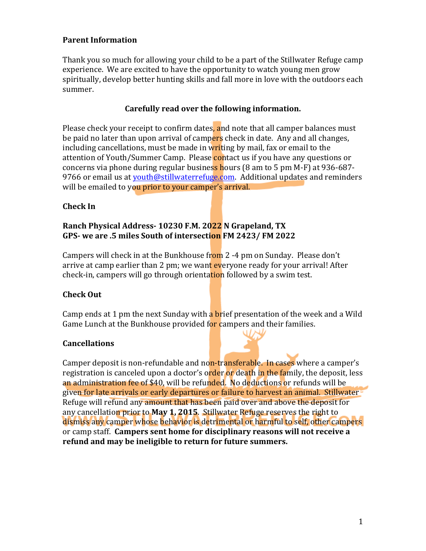### **Parent Information**

Thank you so much for allowing your child to be a part of the Stillwater Refuge camp experience. We are excited to have the opportunity to watch young men grow spiritually, develop better hunting skills and fall more in love with the outdoors each summer. 

### Carefully read over the following information.

Please check your receipt to confirm dates, and note that all camper balances must be paid no later than upon arrival of campers check in date. Any and all changes, including cancellations, must be made in writing by mail, fax or email to the attention of Youth/Summer Camp. Please **contact us if you have any questions or** concerns via phone during regular business hours (8 am to 5 pm M-F) at 936-687-9766 or email us at youth@stillwaterrefuge.com. Additional updates and reminders will be emailed to you prior to your camper's arrival.

### **Check** In

#### **Ranch Physical Address- 10230 F.M. 2022 N Grapeland, TX** GPS- we are .5 miles South of intersection FM 2423/ FM 2022

Campers will check in at the Bunkhouse from 2 -4 pm on Sunday. Please don't arrive at camp earlier than 2 pm; we want everyone ready for your arrival! After check-in, campers will go through orientation followed by a swim test.

## **Check Out**

Camp ends at 1 pm the next Sunday with a **brief presentation of the week and a Wild** Game Lunch at the Bunkhouse provided for campers and their families.

#### **Cancellations**

Camper deposit is non-refundable and non-transferable. In cases where a camper's registration is canceled upon a doctor's order or death in the family, the deposit, less an administration fee of \$40, will be refunded. No deductions or refunds will be given for late arrivals or early departures or failure to harvest an animal. Stillwater Refuge will refund any amount that has been paid over and above the deposit for any cancellation prior to **May 1, 2015**. Stillwater Refuge reserves the right to dismiss any camper whose behavior is detrimental or harmful to self, other campers or camp staff. **Campers sent home for disciplinary reasons will not receive a** refund and may be ineligible to return for future summers.